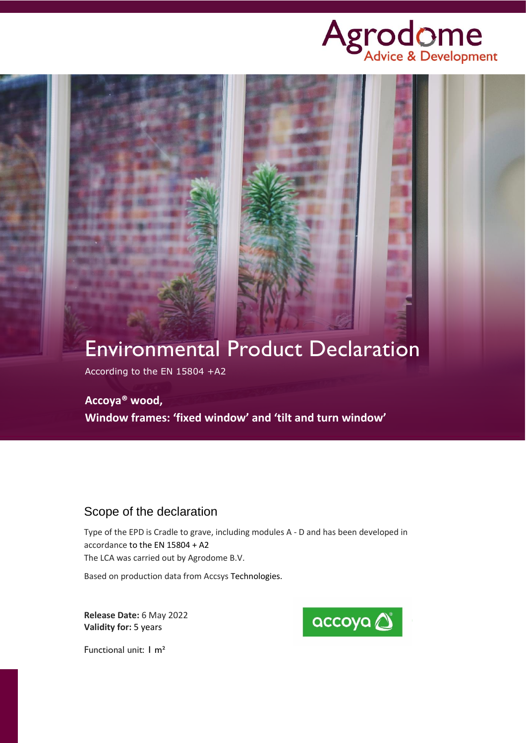



According to the EN 15804 +A2

### **Accoya® wood,**

**Window frames: 'fixed window' and 'tilt and turn window'**

# Scope of the declaration

Type of the EPD is Cradle to grave, including modules A - D and has been developed in accordance to the EN 15804 + A2 The LCA was carried out by Agrodome B.V.

Based on production data from Accsys Technologies.

**Release Date:** 6 May 2022 **Validity for:** 5 years



Functional unit: 1 m²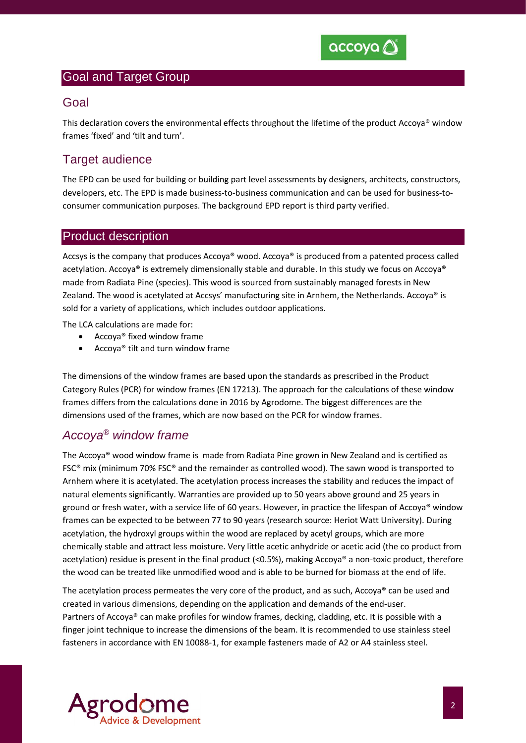

### Goal and Target Group

### Goal

This declaration covers the environmental effects throughout the lifetime of the product Accoya® window frames 'fixed' and 'tilt and turn'.

# **Target audience**

The EPD can be used for building or building part level assessments by designers, architects, constructors, developers, etc. The EPD is made business-to-business communication and can be used for business-toconsumer communication purposes. The background EPD report is third party verified.

#### Product description

Accsys is the company that produces Accoya® wood. Accoya® is produced from a patented process called acetylation. Accoya® is extremely dimensionally stable and durable. In this study we focus on Accoya® made from Radiata Pine (species). This wood is sourced from sustainably managed forests in New Zealand. The wood is acetylated at Accsys' manufacturing site in Arnhem, the Netherlands. Accoya® is sold for a variety of applications, which includes outdoor applications.

The LCA calculations are made for:

- Accoya® fixed window frame
- Accoya® tilt and turn window frame

The dimensions of the window frames are based upon the standards as prescribed in the Product Category Rules (PCR) for window frames (EN 17213). The approach for the calculations of these window frames differs from the calculations done in 2016 by Agrodome. The biggest differences are the dimensions used of the frames, which are now based on the PCR for window frames.

# *Accoya® window frame*

The Accoya® wood window frame is made from Radiata Pine grown in New Zealand and is certified as FSC® mix (minimum 70% FSC® and the remainder as controlled wood). The sawn wood is transported to Arnhem where it is acetylated. The acetylation process increases the stability and reduces the impact of natural elements significantly. Warranties are provided up to 50 years above ground and 25 years in ground or fresh water, with a service life of 60 years. However, in practice the lifespan of Accoya® window frames can be expected to be between 77 to 90 years (research source: Heriot Watt University). During acetylation, the hydroxyl groups within the wood are replaced by acetyl groups, which are more chemically stable and attract less moisture. Very little acetic anhydride or acetic acid (the co product from acetylation) residue is present in the final product (<0.5%), making Accoya<sup>®</sup> a non-toxic product, therefore the wood can be treated like unmodified wood and is able to be burned for biomass at the end of life.

The acetylation process permeates the very core of the product, and as such, Accoya® can be used and created in various dimensions, depending on the application and demands of the end-user. Partners of Accoya® can make profiles for window frames, decking, cladding, etc. It is possible with a finger joint technique to increase the dimensions of the beam. It is recommended to use stainless steel fasteners in accordance with EN 10088-1, for example fasteners made of A2 or A4 stainless steel.

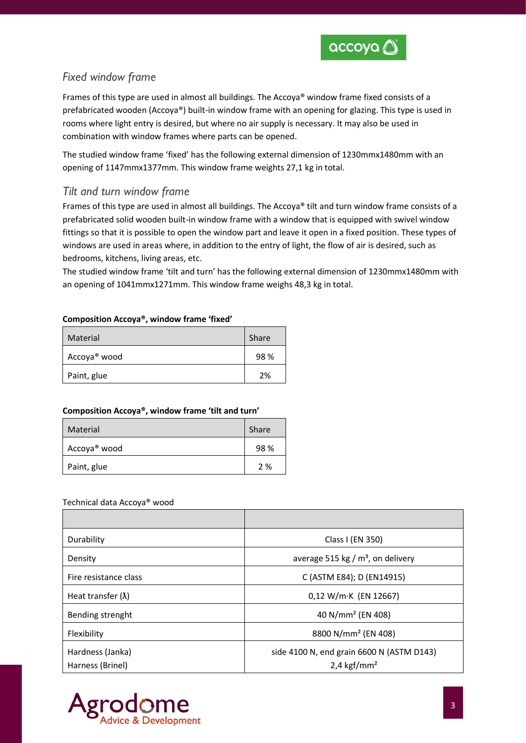

# *Fixed window frame*

Frames of this type are used in almost all buildings. The Accoya® window frame fixed consists of a prefabricated wooden (Accoya®) built-in window frame with an opening for glazing. This type is used in rooms where light entry is desired, but where no air supply is necessary. It may also be used in combination with window frames where parts can be opened.

The studied window frame 'fixed' has the following external dimension of 1230mmx1480mm with an opening of 1147mmx1377mm. This window frame weights 27,1 kg in total.

### *Tilt and turn window frame*

Frames of this type are used in almost all buildings. The Accoya® tilt and turn window frame consists of a prefabricated solid wooden built-in window frame with a window that is equipped with swivel window fittings so that it is possible to open the window part and leave it open in a fixed position. These types of windows are used in areas where, in addition to the entry of light, the flow of air is desired, such as bedrooms, kitchens, living areas, etc.

The studied window frame 'tilt and turn' has the following external dimension of 1230mmx1480mm with an opening of 1041mmx1271mm. This window frame weighs 48,3 kg in total.

#### **Composition Accoya®, window frame 'fixed'**

| Material                 | Share |
|--------------------------|-------|
| Accoya <sup>®</sup> wood | 98%   |
| Paint, glue              | 2%    |

#### **Composition Accoya®, window frame 'tilt and turn'**

| Material                 | Share |
|--------------------------|-------|
| Accoya <sup>®</sup> wood | 98%   |
| Paint, glue              | 2 %   |

#### Technical data Accoya® wood

| Durability                           | Class I (EN 350)                                                       |
|--------------------------------------|------------------------------------------------------------------------|
| Density                              | average 515 kg / $m3$ , on delivery                                    |
| Fire resistance class                | C (ASTM E84); D (EN14915)                                              |
| Heat transfer $(\lambda)$            | $0,12$ W/m·K (EN 12667)                                                |
| Bending strenght                     | 40 N/mm <sup>2</sup> (EN 408)                                          |
| Flexibility                          | 8800 N/mm <sup>2</sup> (EN 408)                                        |
| Hardness (Janka)<br>Harness (Brinel) | side 4100 N, end grain 6600 N (ASTM D143)<br>$2,4$ kgf/mm <sup>2</sup> |

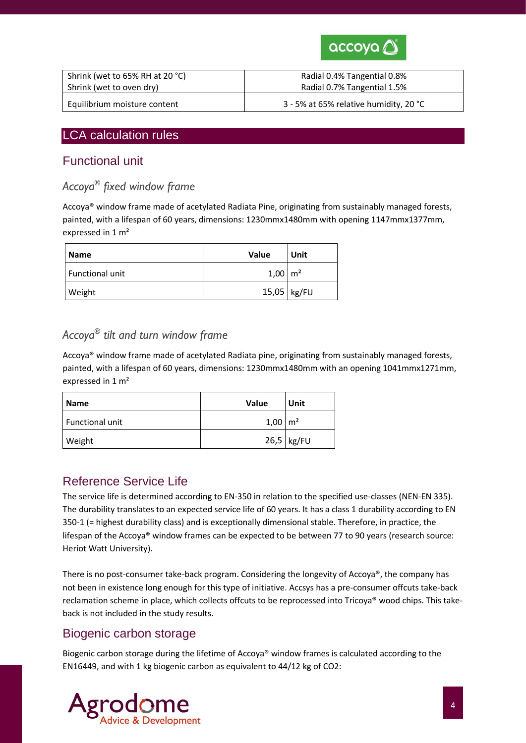

| Shrink (wet to 65% RH at 20 °C) | Radial 0.4% Tangential 0.8%            |
|---------------------------------|----------------------------------------|
| Shrink (wet to oven dry)        | Radial 0.7% Tangential 1.5%            |
| Equilibrium moisture content    | 3 - 5% at 65% relative humidity, 20 °C |

### LCA calculation rules

### Functional unit

# *Accoya® fixed window frame*

Accoya® window frame made of acetylated Radiata Pine, originating from sustainably managed forests, painted, with a lifespan of 60 years, dimensions: 1230mmx1480mm with opening 1147mmx1377mm, expressed in 1 m²

| l Name          | Value                | Unit        |
|-----------------|----------------------|-------------|
| Functional unit | $1,00 \, \text{m}^2$ |             |
| Weight          |                      | 15,05 kg/FU |

# *Accoya® tilt and turn window frame*

Accoya® window frame made of acetylated Radiata pine, originating from sustainably managed forests, painted, with a lifespan of 60 years, dimensions: 1230mmx1480mm with an opening 1041mmx1271mm, expressed in 1 m²

| <b>Name</b>     | Value                | Unit         |
|-----------------|----------------------|--------------|
| Functional unit | $1,00 \, \text{m}^2$ |              |
| Weight          |                      | $26,5$ kg/FU |

# Reference Service Life

The service life is determined according to EN-350 in relation to the specified use-classes (NEN-EN 335). The durability translates to an expected service life of 60 years. It has a class 1 durability according to EN 350-1 (= highest durability class) and is exceptionally dimensional stable. Therefore, in practice, the lifespan of the Accoya® window frames can be expected to be between 77 to 90 years (research source: Heriot Watt University).

There is no post-consumer take-back program. Considering the longevity of Accoya®, the company has not been in existence long enough for this type of initiative. Accsys has a pre-consumer offcuts take-back reclamation scheme in place, which collects offcuts to be reprocessed into Tricoya® wood chips. This takeback is not included in the study results.

### Biogenic carbon storage

Biogenic carbon storage during the lifetime of Accoya® window frames is calculated according to the EN16449, and with 1 kg biogenic carbon as equivalent to 44/12 kg of CO2:

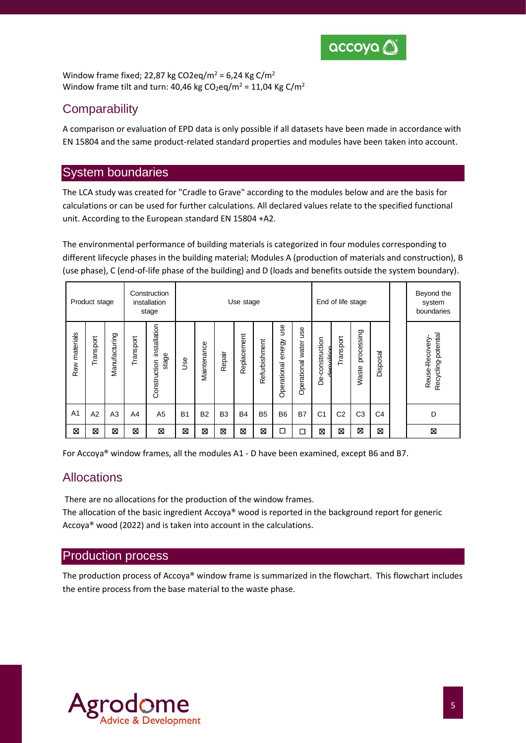

Window frame fixed; 22,87 kg CO2eq/m<sup>2</sup> = 6,24 Kg C/m<sup>2</sup> Window frame tilt and turn: 40,46 kg  $CO<sub>2</sub>$ eq/m<sup>2</sup> = 11,04 Kg C/m<sup>2</sup>

### **Comparability**

A comparison or evaluation of EPD data is only possible if all datasets have been made in accordance with EN 15804 and the same product-related standard properties and modules have been taken into account.

### System boundaries

The LCA study was created for "Cradle to Grave" according to the modules below and are the basis for calculations or can be used for further calculations. All declared values relate to the specified functional unit. According to the European standard EN 15804 +A2.

The environmental performance of building materials is categorized in four modules corresponding to different lifecycle phases in the building material; Modules A (production of materials and construction), B (use phase), C (end-of-life phase of the building) and D (loads and benefits outside the system boundary).

|                  | Product stage |                |           | Construction<br>installation<br>stage |           |             |                | Use stage   |                |                              |                             |                               | End of life stage |                     |                | Beyond the<br>system<br>boundaries     |
|------------------|---------------|----------------|-----------|---------------------------------------|-----------|-------------|----------------|-------------|----------------|------------------------------|-----------------------------|-------------------------------|-------------------|---------------------|----------------|----------------------------------------|
| materials<br>Raw | Transport     | Manufacturing  | Transport | installation<br>stage<br>Construction | Use       | Maintenance | Repair         | Replacement | Refurbishment  | 9su<br>energy<br>Operational | use<br>water<br>Operational | De-construction<br>damolition | Transport         | processing<br>Waste | Disposal       | Recycling-potential<br>Reuse-Recovery- |
| A <sub>1</sub>   | A2            | A <sub>3</sub> | A4        | A <sub>5</sub>                        | <b>B1</b> | <b>B2</b>   | B <sub>3</sub> | <b>B4</b>   | B <sub>5</sub> | B <sub>6</sub>               | <b>B7</b>                   | C <sub>1</sub>                | C <sub>2</sub>    | C <sub>3</sub>      | C <sub>4</sub> | D                                      |
| ⊠                | ⊠             | ⊠              | ×         | ⊠                                     | ⊠         | ⊠           | ⊠              | ⊠           | ⊠              | □                            | П                           | X                             | ⊠                 | ⊠                   | ×              | ⊠                                      |

For Accoya® window frames, all the modules A1 - D have been examined, except B6 and B7.

### Allocations

There are no allocations for the production of the window frames.

The allocation of the basic ingredient Accoya<sup>®</sup> wood is reported in the background report for generic Accoya® wood (2022) and is taken into account in the calculations.

#### Production process

The production process of Accoya® window frame is summarized in the flowchart. This flowchart includes the entire process from the base material to the waste phase.

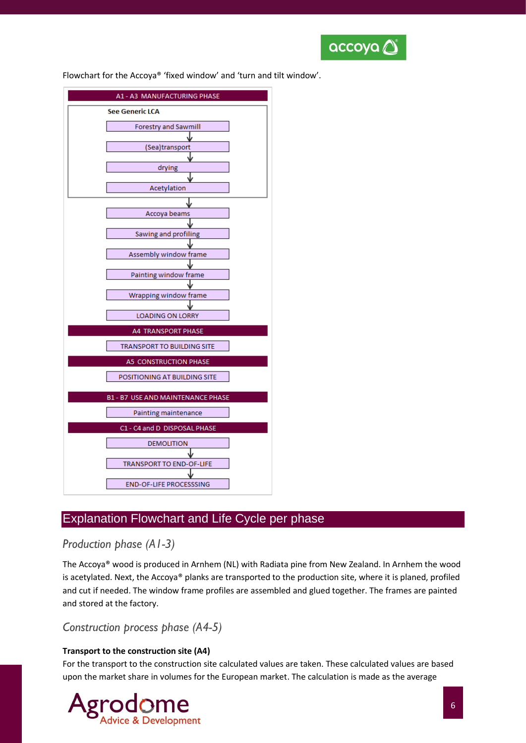

Flowchart for the Accoya® 'fixed window' and 'turn and tilt window'.



# Explanation Flowchart and Life Cycle per phase

### *Production phase (A1-3)*

The Accoya® wood is produced in Arnhem (NL) with Radiata pine from New Zealand. In Arnhem the wood is acetylated. Next, the Accoya® planks are transported to the production site, where it is planed, profiled and cut if needed. The window frame profiles are assembled and glued together. The frames are painted and stored at the factory.

### *Construction process phase (A4-5)*

#### **Transport to the construction site (A4)**

For the transport to the construction site calculated values are taken. These calculated values are based upon the market share in volumes for the European market. The calculation is made as the average

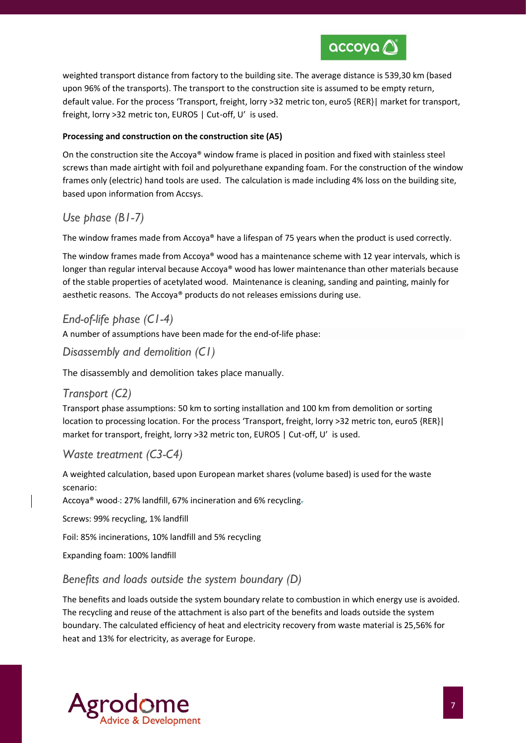

weighted transport distance from factory to the building site. The average distance is 539,30 km (based upon 96% of the transports). The transport to the construction site is assumed to be empty return, default value. For the process 'Transport, freight, lorry >32 metric ton, euro5 {RER}| market for transport, freight, lorry >32 metric ton, EURO5 | Cut-off, U' is used.

#### **Processing and construction on the construction site (A5)**

On the construction site the Accoya® window frame is placed in position and fixed with stainless steel screws than made airtight with foil and polyurethane expanding foam. For the construction of the window frames only (electric) hand tools are used. The calculation is made including 4% loss on the building site, based upon information from Accsys.

#### *Use phase (B1-7)*

The window frames made from Accoya® have a lifespan of 75 years when the product is used correctly.

The window frames made from Accoya® wood has a maintenance scheme with 12 year intervals, which is longer than regular interval because Accoya® wood has lower maintenance than other materials because of the stable properties of acetylated wood. Maintenance is cleaning, sanding and painting, mainly for aesthetic reasons. The Accoya® products do not releases emissions during use.

### *End-of-life phase (C1-4)*

A number of assumptions have been made for the end-of-life phase:

### *Disassembly and demolition (C1)*

The disassembly and demolition takes place manually.

#### *Transport (C2)*

Transport phase assumptions: 50 km to sorting installation and 100 km from demolition or sorting location to processing location. For the process 'Transport, freight, lorry >32 metric ton, euro5 {RER}| market for transport, freight, lorry >32 metric ton, EURO5 | Cut-off, U' is used.

#### *Waste treatment (C3-C4)*

A weighted calculation, based upon European market shares (volume based) is used for the waste scenario:

Accoya<sup>®</sup> wood -: 27% landfill, 67% incineration and 6% recycling-

Screws: 99% recycling, 1% landfill

Foil: 85% incinerations, 10% landfill and 5% recycling

Expanding foam: 100% landfill

#### *Benefits and loads outside the system boundary (D)*

The benefits and loads outside the system boundary relate to combustion in which energy use is avoided. The recycling and reuse of the attachment is also part of the benefits and loads outside the system boundary. The calculated efficiency of heat and electricity recovery from waste material is 25,56% for heat and 13% for electricity, as average for Europe.

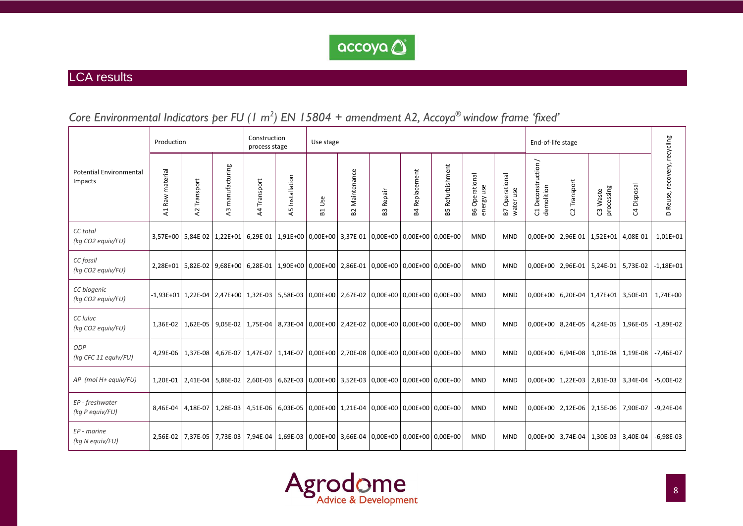

# LCA results

| Core Environmental Indicators per FU (1 m <sup>2</sup> ) EN 15804 + amendment A2, Accoya® window frame 'fixed' |  |  |  |  |  |  |  |
|----------------------------------------------------------------------------------------------------------------|--|--|--|--|--|--|--|
|----------------------------------------------------------------------------------------------------------------|--|--|--|--|--|--|--|

|                                           | Production                     |                        |                                                                                                             | Construction<br>process stage |                    | Use stage          |                               |                                                                 |                       |                     |                                 |                                        | End-of-life stage                   |                                           |                        |                                     |                              |
|-------------------------------------------|--------------------------------|------------------------|-------------------------------------------------------------------------------------------------------------|-------------------------------|--------------------|--------------------|-------------------------------|-----------------------------------------------------------------|-----------------------|---------------------|---------------------------------|----------------------------------------|-------------------------------------|-------------------------------------------|------------------------|-------------------------------------|------------------------------|
| <b>Potential Environmental</b><br>Impacts | Raw material<br>$\overline{z}$ | Transport<br>$\lambda$ | manufacturing<br>$\overline{a}$                                                                             | Transport<br>$\overline{A}$   | Installation<br>45 | Use<br>$E_{\rm d}$ | Maintenance<br>B <sub>2</sub> | Repair<br>B3                                                    | <b>B4 Replacement</b> | Refurbishment<br>59 | Operational<br>energy use<br>86 | Operational<br>B7 Operati<br>water use | Deconstruction /<br>demolition<br>ರ | Transport<br>S.                           | processing<br>C3 Waste | Disposal<br>S,                      | D Reuse, recovery, recycling |
| CC total<br>(kg CO2 equiv/FU)             |                                |                        | 3,57E+00   5,84E-02   1,22E+01   6,29E-01   1,91E+00   0,00E+00   3,37E-01   0,00E+00   0,00E+00   0,00E+00 |                               |                    |                    |                               |                                                                 |                       |                     | <b>MND</b>                      | <b>MND</b>                             |                                     | 0,00E+00 2,96E-01 1,52E+01 4,08E-01       |                        |                                     | $-1,01E+01$                  |
| CC fossil<br>(kg CO2 equiv/FU)            |                                |                        | 2,28E+01 5,82E-02 9,68E+00 6,28E-01 1,90E+00 0,00E+00 2,86E-01 0,00E+00 0,00E+00 0,00E+00                   |                               |                    |                    |                               |                                                                 |                       |                     | <b>MND</b>                      | <b>MND</b>                             |                                     | 0,00E+00 2,96E-01 5,24E-01 5,73E-02       |                        |                                     | $-1,18E+01$                  |
| CC biogenic<br>(kg CO2 equiv/FU)          |                                |                        | -1,93E+01 1,22E-04 2,47E+00 1,32E-03 5,58E-03 0,00E+00 2,67E-02 0,00E+00 0,00E+00 0,00E+00                  |                               |                    |                    |                               |                                                                 |                       |                     | <b>MND</b>                      | <b>MND</b>                             |                                     |                                           |                        | 0,00E+00 6,20E-04 1,47E+01 3,50E-01 | 1,74E+00                     |
| CC luluc<br>(kg CO2 equiv/FU)             |                                |                        | 1,36E-02   1,62E-05   9,05E-02   1,75E-04   8,73E-04   0,00E+00   2,42E-02   0,00E+00   0,00E+00   0,00E+00 |                               |                    |                    |                               |                                                                 |                       |                     | <b>MND</b>                      | <b>MND</b>                             |                                     | $0.00E+00$ 8.24E-05 4.24E-05 1.96E-05     |                        |                                     | $-1,89E-02$                  |
| ODP<br>(kg CFC 11 equiv/FU)               |                                |                        | 4,29E-06   1,37E-08   4,67E-07   1,47E-07                                                                   |                               |                    |                    |                               | 1,14E-07   0,00E+00   2,70E-08   0,00E+00   0,00E+00   0,00E+00 |                       |                     | <b>MND</b>                      | <b>MND</b>                             |                                     | 0,00E+00 6,94E-08 1,01E-08 1,19E-08       |                        |                                     | $-7,46E-07$                  |
| AP (mol H+ equiv/FU)                      |                                |                        | 1,20E-01 2,41E-04 5,86E-02 2,60E-03 6,62E-03 0,00E+00 3,52E-03 0,00E+00 0,00E+00 0,00E+00                   |                               |                    |                    |                               |                                                                 |                       |                     | <b>MND</b>                      | <b>MND</b>                             |                                     | 0,00E+00   1,22E-03   2,81E-03   3,34E-04 |                        |                                     | $-5,00E-02$                  |
| EP - freshwater<br>(kg P equiv/FU)        |                                |                        | 8,46E-04   4,18E-07   1,28E-03   4,51E-06   6,03E-05   0,00E+00   1,21E-04   0,00E+00   0,00E+00   0,00E+00 |                               |                    |                    |                               |                                                                 |                       |                     | <b>MND</b>                      | <b>MND</b>                             |                                     | 0,00E+00 2,12E-06 2,15E-06 7,90E-07       |                        |                                     | $-9,24E-04$                  |
| $EP$ - marine<br>(kg N equiv/FU)          |                                |                        | 2,56E-02 7,37E-05 7,73E-03 7,94E-04                                                                         |                               |                    |                    |                               | 1,69E-03 0,00E+00 3,66E-04 0,00E+00 0,00E+00 0,00E+00           |                       |                     | <b>MND</b>                      | <b>MND</b>                             |                                     | 0,00E+00 3,74E-04 1,30E-03 3,40E-04       |                        |                                     | $-6,98E-03$                  |

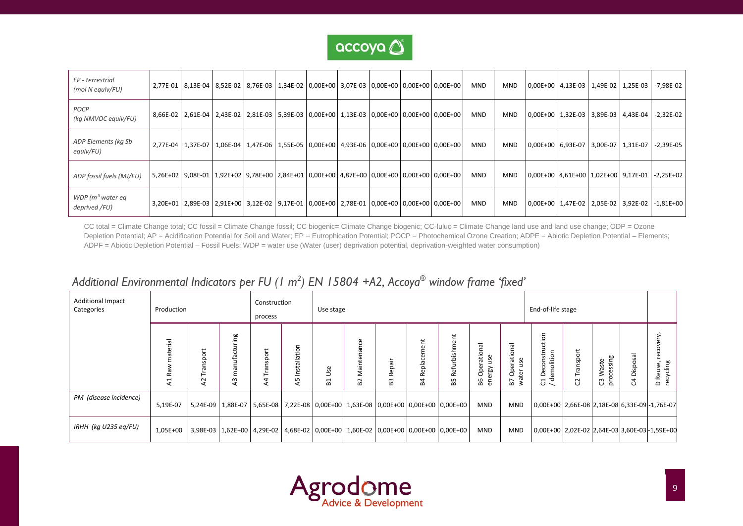

| EP - terrestrial<br>(mol N equiv/FU) |  | 2,77E-01 8,13E-04 8,52E-02 8,76E-03 1,34E-02 0,00E+00 3,07E-03 0,00E+00 0,00E+00 0,00E+00                   |  |  |  | <b>MND</b> | MND        |  |                                     | 0,00E+00   4,13E-03   1,49E-02   1,25E-03   -7,98E-02 |
|--------------------------------------|--|-------------------------------------------------------------------------------------------------------------|--|--|--|------------|------------|--|-------------------------------------|-------------------------------------------------------|
| POCP<br>(kg NMVOC equiv/FU)          |  | 8,66E-02 2,61E-04 2,43E-02 2,81E-03 5,39E-03 0,00E+00 1,13E-03 0,00E+00 0,00E+00 0,00E+00                   |  |  |  | <b>MND</b> | MND        |  |                                     | 0,00E+00   1,32E-03   3,89E-03   4,43E-04   -2,32E-02 |
| ADP Elements (kg Sb<br>equiv/FU)     |  | 2,77E-04   1,37E-07   1,06E-04   1,47E-06   1,55E-05   0,00E+00   4,93E-06   0,00E+00   0,00E+00   0,00E+00 |  |  |  | <b>MND</b> | <b>MND</b> |  | 0,00E+00 6,93E-07 3,00E-07 1,31E-07 | $-2,39E-05$                                           |
| ADP fossil fuels (MJ/FU)             |  | 5,26E+02   9,08E-01   1,92E+02   9,78E+00   2,84E+01   0,00E+00   4,87E+00   0,00E+00   0,00E+00   0,00E+00 |  |  |  | <b>MND</b> | <b>MND</b> |  |                                     | 0,00E+00   4,61E+00   1,02E+00   9,17E-01   -2,25E+02 |
| WDP ( $m3$ water eq<br>deprived /FU) |  | 3,20E+01   2,89E-03   2,91E+00   3,12E-02   9,17E-01   0,00E+00   2,78E-01   0,00E+00   0,00E+00   0,00E+00 |  |  |  | <b>MND</b> | MND        |  |                                     | 0,00E+00   1,47E-02   2,05E-02   3,92E-02   -1,81E+00 |

CC total = Climate Change total; CC fossil = Climate Change fossil; CC biogenic= Climate Change biogenic; CC-luluc = Climate Change land use and land use change; ODP = Ozone Depletion Potential; AP = Acidification Potential for Soil and Water; EP = Eutrophication Potential; POCP = Photochemical Ozone Creation; ADPE = Abiotic Depletion Potential – Elements; ADPF = Abiotic Depletion Potential – Fossil Fuels; WDP = water use (Water (user) deprivation potential, deprivation-weighted water consumption)

# *Additional Environmental Indicators per FU (1 m 2 ) EN 15804 +A2, Accoya® window frame 'fixed'*

| <b>Additional Impact</b><br>Categories | Production               |                           |                                  | Construction<br>process |                                                                                                  | End-of-life stage<br>Use stage |                                   |              |                       |                      |                                                  |                                         |                                                                                  |                          |                           |                   |                                                     |
|----------------------------------------|--------------------------|---------------------------|----------------------------------|-------------------------|--------------------------------------------------------------------------------------------------|--------------------------------|-----------------------------------|--------------|-----------------------|----------------------|--------------------------------------------------|-----------------------------------------|----------------------------------------------------------------------------------|--------------------------|---------------------------|-------------------|-----------------------------------------------------|
|                                        | 흐<br>$\propto$<br>H<br>⋖ | sport<br>ಕ<br>È<br>2<br>⋖ | acturing<br>٤<br>$\overline{A}3$ | por<br>ഄ<br>ത<br>4<br>⋖ | Installation<br>5<br>⋖                                                                           | Use<br>⊣<br>co                 | ance<br>Mainten<br>B <sub>2</sub> | Repair<br>83 | epla<br>$\alpha$<br>≃ | 흐<br>은<br>Refu<br>55 | ationa<br>ပ္တ<br>Φ<br>ငိ<br>Β6<br>$\overline{a}$ | σ<br>ationa<br>use<br>å<br>包<br>ξ<br>В7 | <b>Iction</b><br>Deconstru<br>emolition<br>ರ<br>$\blacksquare$<br>$\circ$ $\sim$ | Transport<br>$\sim$<br>ن | processing<br>Waste<br>ෆී | Disposa<br>4<br>ပ | very.<br>reco <sup>,</sup><br>D Reuse,<br>recycling |
| PM (disease incidence)                 | 5,19E-07                 |                           |                                  |                         | 5,24E-09   1,88E-07   5,65E-08   7,22E-08   0,00E+00   1,63E-08   0,00E+00   0,00E+00   0,00E+00 |                                |                                   |              |                       |                      | MND                                              | MND                                     | 0,00E+00 2,66E-08 2,18E-08 6,33E-09 - 1,76E-07                                   |                          |                           |                   |                                                     |
| IRHH (kg U235 eg/FU)                   | 1,05E+00                 |                           |                                  |                         | 3,98E-03   1,62E+00   4,29E-02   4,68E-02   0,00E+00   1,60E-02   0,00E+00   0,00E+00   0,00E+00 |                                |                                   |              |                       |                      | <b>MND</b>                                       | <b>MND</b>                              | 0,00E+00 2,02E-02 2,64E-03 3,60E-03 - 1,59E+00                                   |                          |                           |                   |                                                     |

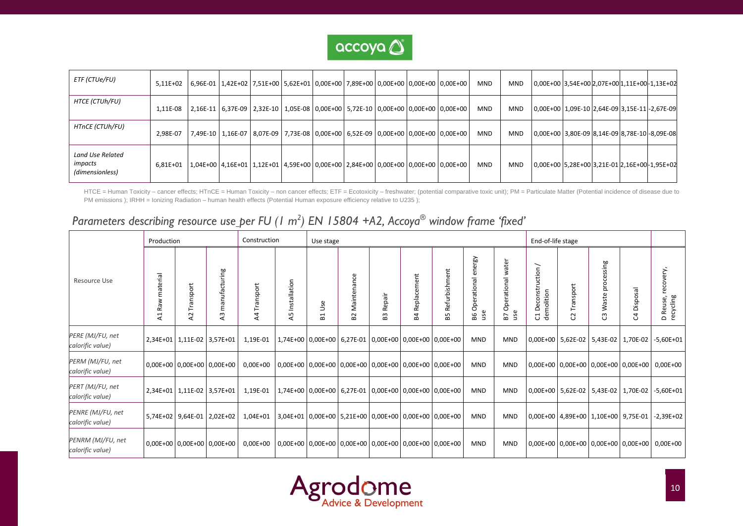

| ETF (CTUe/FU)                                  | $5.11E + 02$ |  |  |  |  | 6,96E-01   1,42E+02   7,51E+00   5,62E+01   0,00E+00   7,89E+00   0,00E+00   0,00E+00   0,00E+00 | <b>MND</b> | <b>MND</b> | 0,00E+00 3,54E+00 2,07E+00 1,11E+00 - 1,13E+02 |  |  |
|------------------------------------------------|--------------|--|--|--|--|--------------------------------------------------------------------------------------------------|------------|------------|------------------------------------------------|--|--|
| HTCE (CTUh/FU)                                 | 1,11E-08     |  |  |  |  | 2,16E-11   6,37E-09   2,32E-10   1,05E-08   0,00E+00   5,72E-10   0,00E+00   0,00E+00   0,00E+00 | <b>MND</b> | <b>MND</b> | 0,00E+00 1,09E-10 2,64E-09 3,15E-11 - 2,67E-09 |  |  |
| HTnCE (CTUh/FU)                                | 2.98E-07     |  |  |  |  | 7,49E-10   1,16E-07   8,07E-09   7,73E-08   0,00E+00   6,52E-09   0,00E+00   0,00E+00   0,00E+00 | <b>MND</b> | <b>MND</b> | 0,00E+00 3,80E-09 8,14E-09 8,78E-10 - 8,09E-08 |  |  |
| Land Use Related<br>impacts<br>(dimensionless) | 6,81E+01     |  |  |  |  | 1,04E+00   4,16E+01   1,12E+01   4,59E+00   0,00E+00   2,84E+00   0,00E+00   0,00E+00   0,00E+00 | <b>MND</b> | <b>MND</b> | 0,00E+00 5,28E+00 3,21E-01 2,16E+00-1,95E+02   |  |  |

HTCE = Human Toxicity – cancer effects; HTnCE = Human Toxicity – non cancer effects; ETF = Ecotoxicity – freshwater; (potential comparative toxic unit); PM = Particulate Matter (Potential incidence of disease due to PM emissions ); IRHH = Ionizing Radiation – human health effects (Potential Human exposure efficiency relative to U235 );

# *Parameters describing resource use per FU (1 m 2 ) EN 15804 +A2, Accoya® window frame 'fixed'*

|                                       | Production              |                                |                            | Construction                |                    | Use stage          |                   |                                                                 |                   |                                                                 |                                                            |                                   | End-of-life stage                                                         |                                           |                           |                                           |                                                      |
|---------------------------------------|-------------------------|--------------------------------|----------------------------|-----------------------------|--------------------|--------------------|-------------------|-----------------------------------------------------------------|-------------------|-----------------------------------------------------------------|------------------------------------------------------------|-----------------------------------|---------------------------------------------------------------------------|-------------------------------------------|---------------------------|-------------------------------------------|------------------------------------------------------|
| <b>Resource Use</b>                   | material<br>₹<br>æ<br>4 | ansport<br>⊨<br><b>Z</b>       | manufacturing<br>43        | Transport<br>$\overline{A}$ | Installation<br>45 | Use<br>$E_{\rm I}$ | Maintenance<br>52 | Repair<br>63                                                    | Replacement<br>P4 | Refurbishment<br>55                                             | ergy<br>둡<br>$\overline{\sigma}$<br>Operation<br>use<br>98 | water<br>Operational<br>use<br>57 | ╲<br>uction<br>constri<br>demolition<br>$\bar{\mathbf{\omega}}$<br>Õ<br>ರ | ansport<br>S                              | processing<br>Waste<br>ෆී | Disposal<br>ೆ                             | recovery,<br>Reuse,<br>recycling<br>$\mathbf \Omega$ |
| PERE (MJ/FU, net<br>calorific value)  |                         | 2,34E+01   1,11E-02   3,57E+01 |                            | 1,19E-01                    |                    |                    |                   |                                                                 |                   | 1,74E+00   0,00E+00   6,27E-01   0,00E+00   0,00E+00   0,00E+00 | <b>MND</b>                                                 | <b>MND</b>                        |                                                                           |                                           |                           | 0,00E+00   5,62E-02   5,43E-02   1,70E-02 | -5,60E+01                                            |
| PERM (MJ/FU, net<br>calorific value)  |                         |                                | 0,00E+00 0,00E+00 0,00E+00 | 0,00E+00                    |                    |                    |                   | 0,00E+00   0,00E+00   0,00E+00   0,00E+00   0,00E+00   0,00E+00 |                   |                                                                 | <b>MND</b>                                                 | <b>MND</b>                        |                                                                           |                                           |                           |                                           | 0,00E+00 0,00E+00 0,00E+00 0,00E+00 0,00E+00         |
| PERT (MJ/FU, net<br>calorific value)  |                         |                                | 2,34E+01 1,11E-02 3,57E+01 | 1,19E-01                    |                    |                    |                   |                                                                 |                   | 1,74E+00 0,00E+00 6,27E-01 0,00E+00 0,00E+00 0,00E+00           | <b>MND</b>                                                 | <b>MND</b>                        |                                                                           | 0,00E+00   5,62E-02   5,43E-02   1,70E-02 |                           |                                           | $-5,60E+01$                                          |
| PENRE (MJ/FU, net<br>calorific value) |                         |                                | 5,74E+02 9,64E-01 2,02E+02 | 1,04E+01                    |                    |                    |                   | 3,04E+01 0,00E+00 5,21E+00 0,00E+00 0,00E+00 0,00E+00           |                   |                                                                 | <b>MND</b>                                                 | <b>MND</b>                        |                                                                           | 0,00E+00 4,89E+00 1,10E+00 9,75E-01       |                           |                                           | $-2,39E+02$                                          |
| PENRM (MJ/FU, net<br>calorific value) |                         | 0,00E+00 0,00E+00 0,00E+00     |                            | $0,00E+00$                  |                    |                    |                   |                                                                 |                   | 0,00E+00   0,00E+00   0,00E+00   0,00E+00   0,00E+00   0,00E+00 | <b>MND</b>                                                 | <b>MND</b>                        |                                                                           |                                           |                           |                                           | 0,00E+00 0,00E+00 0,00E+00 0,00E+00 0,00E+00         |

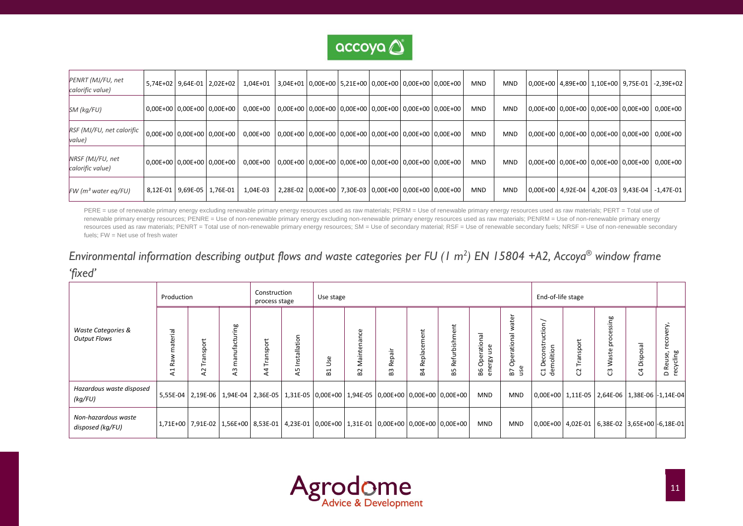

| PENRT (MJ/FU, net<br>calorific value) |  | 5,74E+02 9,64E-01 2,02E+02           | $1,04E+01$                                                                               |  | 3,04E+01 0,00E+00 5,21E+00 0,00E+00 0,00E+00 0,00E+00 |  | <b>MND</b> | <b>MND</b> |  | 0,00E+00   4,89E+00   1,10E+00   9,75E-01 | $-2,39E+02$                                          |
|---------------------------------------|--|--------------------------------------|------------------------------------------------------------------------------------------|--|-------------------------------------------------------|--|------------|------------|--|-------------------------------------------|------------------------------------------------------|
| SM (kg/FU)                            |  | $ 0,00E+00 0,00E+00 0,00E+00 $       | 0,00E+00 0,00E+00 0,00E+00 0,00E+00 0,00E+00 0,00E+00 0,00E+00                           |  |                                                       |  | <b>MND</b> | <b>MND</b> |  |                                           | 0,00E+00 0,00E+00 0,00E+00 0,00E+00 0,00E+00         |
| RSF (MJ/FU, net calorific<br>value)   |  | $0.00E+00$   $0.00E+00$   $0.00E+00$ | 0,00E+00 0,00E+00 0,00E+00 0,00E+00 0,00E+00 0,00E+00 0,00E+00                           |  |                                                       |  | <b>MND</b> | <b>MND</b> |  |                                           | 0,00E+00   0,00E+00   0,00E+00   0,00E+00   0,00E+00 |
| NRSF (MJ/FU, net<br>calorific value)  |  | $0.00E+00$   $0.00E+00$   $0.00E+00$ | $0.00E+00$   $0.00E+00$   $0.00E+00$   $0.00E+00$   $0.00E+00$   $0.00E+00$   $0.00E+00$ |  |                                                       |  | <b>MND</b> | <b>MND</b> |  |                                           | 0,00E+00   0,00E+00   0,00E+00   0,00E+00   0,00E+00 |
| $FW$ (m <sup>3</sup> water eq/FU)     |  | 8,12E-01 9,69E-05 1,76E-01           | 1,04E-03                                                                                 |  | 2,28E-02 0,00E+00 7,30E-03 0,00E+00 0,00E+00 0,00E+00 |  | <b>MND</b> | <b>MND</b> |  | 0,00E+00   4,92E-04   4,20E-03   9,43E-04 | $-1,47E-01$                                          |

PERE = use of renewable primary energy excluding renewable primary energy resources used as raw materials; PERM = Use of renewable primary energy resources used as raw materials; PERT = Total use of renewable primary energy resources; PENRE = Use of non-renewable primary energy excluding non-renewable primary energy resources used as raw materials; PENRM = Use of non-renewable primary energy resources used as raw materials; PENRT = Total use of non-renewable primary energy resources; SM = Use of secondary material; RSF = Use of renewable secondary fuels; NRSF = Use of non-renewable secondary fuels; FW = Net use of fresh water

# *Environmental information describing output flows and waste categories per FU (1 m 2 ) EN 15804 +A2, Accoya® window frame 'fixed'*

|                                                      | Production             |                                                                                           |                                     | Construction<br>process stage |                       | Use stage                                |                                        |                                                                 |                                |                                                                             |                                        |                                               | End-of-life stage                                                                         |                                   |                                                     |                         |                                                |
|------------------------------------------------------|------------------------|-------------------------------------------------------------------------------------------|-------------------------------------|-------------------------------|-----------------------|------------------------------------------|----------------------------------------|-----------------------------------------------------------------|--------------------------------|-----------------------------------------------------------------------------|----------------------------------------|-----------------------------------------------|-------------------------------------------------------------------------------------------|-----------------------------------|-----------------------------------------------------|-------------------------|------------------------------------------------|
| <b>Waste Categories &amp;</b><br><b>Output Flows</b> | aterial<br>æ<br>⊣<br>⋖ | nsport<br>L<br>⊢<br>58                                                                    | ufacturing<br>ā<br>ε<br>$\sim$<br>⋖ | nsport<br>EJ<br>⊢<br>⋖        | Installatio<br>Б<br>⋖ | 9S<br>⊃<br>$\overline{\phantom{0}}$<br>œ | به<br>ಸ<br>Σ<br>$\sim$<br>$\mathbf{a}$ | ॱत्तॅ<br>$\circ$<br>$\omega$<br>œ<br>$\omega$<br>$\overline{a}$ | Ħ.<br>مە<br>œ<br>ᄒ<br>Rej<br>œ | Refurbishment<br>В5                                                         | Operational<br>use<br>ergy<br>В6<br>မြ | ater<br>₹<br>lenoits<br>Oper<br>ω<br>B7<br>Š. | ー<br>uctio<br>econstr<br>molition<br>$\circ$<br>$\overline{\phantom{0}}$<br>-공<br>$\circ$ | ransport<br>ᆮ<br>$\sim$<br>$\cup$ | Ρg<br>.<br>Sā<br>ò<br>aste<br>≷<br>$\sim$<br>$\cup$ | isposa<br>$\Omega$<br>O | very,<br>reco<br>recycling<br>Reuse,<br>$\Box$ |
| Hazardous waste disposed<br>(kg/FU)                  |                        | 5,55E-04   2,19E-06                                                                       |                                     |                               |                       |                                          |                                        |                                                                 |                                | $1,94E-04$ 2,36E-05 $1,31E-05$ 0,00E+00 1,94E-05 0,00E+00 0,00E+00 0,00E+00 | <b>MND</b>                             | <b>MND</b>                                    | 0,00E+00   1,11E-05   2,64E-06   1,38E-06 -1,14E-04                                       |                                   |                                                     |                         |                                                |
| Non-hazardous waste<br>disposed (kg/FU)              |                        | 1,71E+00 7,91E-02 1,56E+00 8,53E-01 4,23E-01 0,00E+00 1,31E-01 0,00E+00 0,00E+00 0,00E+00 |                                     |                               |                       |                                          |                                        |                                                                 |                                |                                                                             | <b>MND</b>                             | <b>MND</b>                                    | 0,00E+00   4,02E-01   6,38E-02   3,65E+00   -6,18E-01                                     |                                   |                                                     |                         |                                                |

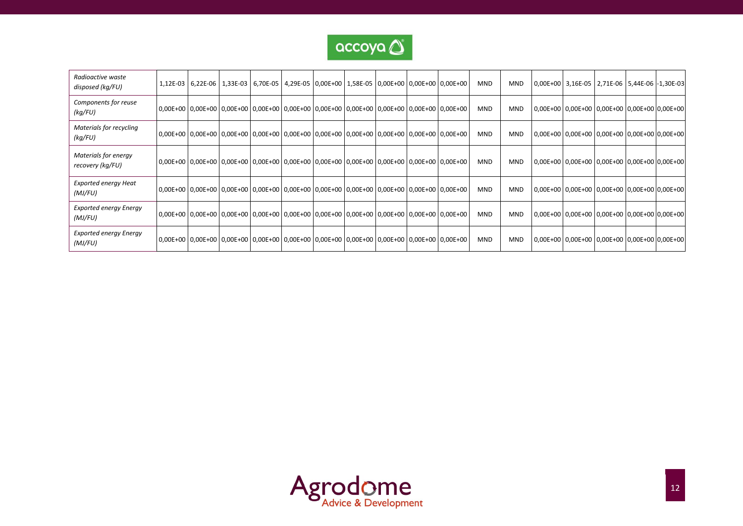

| Radioactive waste<br>disposed (kg/FU)    | 1,12E-03 6,22E-06 1,33E-03 6,70E-05 4,29E-05 0,00E+00 1,58E-05 0,00E+00 0,00E+00 0,00E+00                   |  |  |  |  | <b>MND</b> | <b>MND</b> |  | 0,00E+00 3,16E-05 2,71E-06 5,44E-06 -1,30E-03 |  |
|------------------------------------------|-------------------------------------------------------------------------------------------------------------|--|--|--|--|------------|------------|--|-----------------------------------------------|--|
| Components for reuse<br>(kg/FU)          | 0,00E+00 0,00E+00 0,00E+00 0,00E+00 0,00E+00 0,00E+00 0,00E+00 0,00E+00 0,00E+00 0,00E+00 0,00E+00 0        |  |  |  |  | <b>MND</b> | <b>MND</b> |  | 0,00E+00 0,00E+00 0,00E+00 0,00E+00 0,00E+00  |  |
| Materials for recycling<br>(kg/FU)       | 0,00E+00 0,00E+00 0,00E+00 0,00E+00 0,00E+00 0,00E+00 0,00E+00 0,00E+00 0,00E+00 0,00E+00 0,00E+00 0        |  |  |  |  | <b>MND</b> | <b>MND</b> |  | 0,00E+00 0,00E+00 0,00E+00 0,00E+00 0,00E+00  |  |
| Materials for energy<br>recovery (kg/FU) | 0,00E+00   0,00E+00   0,00E+00   0,00E+00   0,00E+00   0,00E+00   0,00E+00   0,00E+00   0,00E+00   0,00E+00 |  |  |  |  | <b>MND</b> | <b>MND</b> |  | 0,00E+00 0,00E+00 0,00E+00 0,00E+00 0,00E+00  |  |
| <b>Exported energy Heat</b><br>(MJ/FU)   | 0,00E+00   0,00E+00   0,00E+00   0,00E+00   0,00E+00   0,00E+00   0,00E+00   0,00E+00   0,00E+00   0,00E+00 |  |  |  |  | <b>MND</b> | <b>MND</b> |  | 0,00E+00 0,00E+00 0,00E+00 0,00E+00 0,00E+00  |  |
| <b>Exported energy Energy</b><br>(MJ/FU) | 0,00E+00 0,00E+00 0,00E+00 0,00E+00 0,00E+00 0,00E+00 0,00E+00 0,00E+00 0,00E+00 0,00E+00 0,00E+00 0        |  |  |  |  | <b>MND</b> | <b>MND</b> |  | 0,00E+00 0,00E+00 0,00E+00 0,00E+00 0,00E+00  |  |
| <b>Exported energy Energy</b><br>(MJ/FU) | 0,00E+00 0,00E+00 0,00E+00 0,00E+00 0,00E+00 0,00E+00 0,00E+00 0,00E+00 0,00E+00 0,00E+00 0,00E+00 0        |  |  |  |  | <b>MND</b> | <b>MND</b> |  | 0,00E+00 0,00E+00 0,00E+00 0,00E+00 0,00E+00  |  |

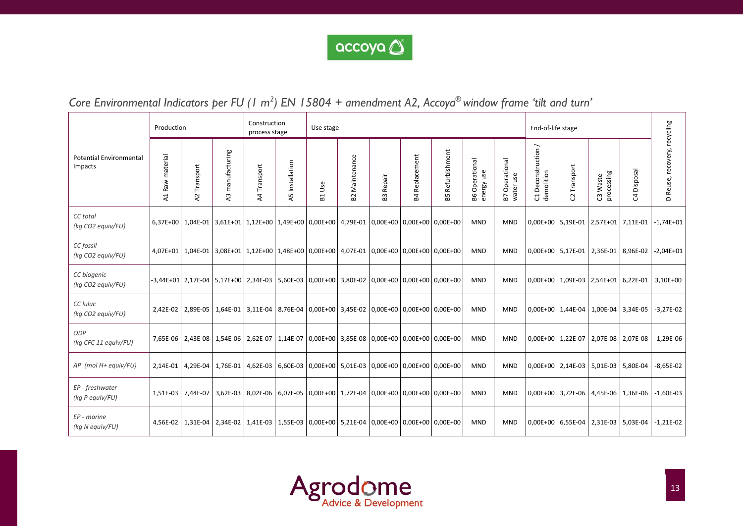

# *Core Environmental Indicators per FU (1 m 2 ) EN 15804 + amendment A2, Accoya® window frame 'tilt and turn'*

|                                           | Production      |              |                     | Construction<br>process stage                                                                               |                 | Use stage          |                               |              |                       |                                                                                                             |                                 |                                | End-of-life stage                   |                   |                        |                                           |                              |
|-------------------------------------------|-----------------|--------------|---------------------|-------------------------------------------------------------------------------------------------------------|-----------------|--------------------|-------------------------------|--------------|-----------------------|-------------------------------------------------------------------------------------------------------------|---------------------------------|--------------------------------|-------------------------------------|-------------------|------------------------|-------------------------------------------|------------------------------|
| <b>Potential Environmental</b><br>Impacts | A1 Raw material | A2 Transport | manufacturing<br>43 | A4 Transport                                                                                                | A5 Installation | Use<br>$E_{\rm B}$ | Maintenance<br>B <sub>2</sub> | Repair<br>B3 | <b>B4 Replacement</b> | Refurbishment<br>В5                                                                                         | Operational<br>energy use<br>Β6 | Operational<br>water use<br>B7 | Deconstruction /<br>demolition<br>J | Transport<br>S    | C3 Waste<br>processing | C4 Disposal                               | D Reuse, recovery, recycling |
| CC total<br>(kg CO2 equiv/FU)             |                 |              |                     | 6,37E+00   1,04E-01   3,61E+01   1,12E+00   1,49E+00   0,00E+00   4,79E-01   0,00E+00   0,00E+00   0,00E+00 |                 |                    |                               |              |                       |                                                                                                             | <b>MND</b>                      | <b>MND</b>                     |                                     |                   |                        | 0,00E+00 5,19E-01 2,57E+01 7,11E-01       | $-1,74E+01$                  |
| CC fossil<br>(kg CO2 equiv/FU)            |                 |              |                     |                                                                                                             |                 |                    |                               |              |                       | 4,07E+01   1,04E-01   3,08E+01   1,12E+00   1,48E+00   0,00E+00   4,07E-01   0,00E+00   0,00E+00   0,00E+00 | <b>MND</b>                      | <b>MND</b>                     |                                     |                   |                        | 0,00E+00 5,17E-01 2,36E-01 8,96E-02       | $-2,04E+01$                  |
| CC biogenic<br>(kg CO2 equiv/FU)          |                 |              |                     | $-3,44E+01$ 2,17E-04 5,17E+00 2,34E-03                                                                      |                 |                    |                               |              |                       | 5,60E-03   0,00E+00   3,80E-02   0,00E+00   0,00E+00   0,00E+00                                             | <b>MND</b>                      | <b>MND</b>                     |                                     |                   |                        | 0,00E+00 1,09E-03 2,54E+01 6,22E-01       | 3,10E+00                     |
| CC luluc<br>(kg CO2 equiv/FU)             |                 |              |                     |                                                                                                             |                 |                    |                               |              |                       | 2,42E-02   2,89E-05   1,64E-01   3,11E-04   8,76E-04   0,00E+00   3,45E-02   0,00E+00   0,00E+00   0,00E+00 | <b>MND</b>                      | <b>MND</b>                     |                                     |                   |                        | 0,00E+00   1,44E-04   1,00E-04   3,34E-05 | $-3,27E-02$                  |
| ODP<br>(kg CFC 11 equiv/FU)               |                 |              |                     | 7,65E-06   2,43E-08   1,54E-06   2,62E-07                                                                   |                 |                    |                               |              |                       | 1,14E-07 0,00E+00 3,85E-08 0,00E+00 0,00E+00 0,00E+00                                                       | <b>MND</b>                      | <b>MND</b>                     |                                     | 0,00E+00 1,22E-07 | 2,07E-08               | 2,07E-08                                  | $-1,29E-06$                  |
| AP (mol H+ equiv/FU)                      | 2.14E-01        |              |                     | 4,29E-04   1,76E-01   4,62E-03   6,60E-03   0,00E+00   5,01E-03   0,00E+00   0,00E+00   0,00E+00   1        |                 |                    |                               |              |                       |                                                                                                             | <b>MND</b>                      | <b>MND</b>                     |                                     |                   |                        | 0,00E+00 2,14E-03 5,01E-03 5,80E-04       | $-8,65E-02$                  |
| EP - freshwater<br>(kg P equiv/FU)        |                 |              |                     |                                                                                                             |                 |                    |                               |              |                       | 1,51E-03   7,44E-07   3,62E-03   8,02E-06   6,07E-05   0,00E+00   1,72E-04   0,00E+00   0,00E+00   0,00E+00 | <b>MND</b>                      | <b>MND</b>                     |                                     |                   |                        | 0,00E+00 3,72E-06 4,45E-06 1,36E-06       | $-1,60E-03$                  |
| EP - marine<br>(kg N equiv/FU)            |                 |              |                     | 4,56E-02   1,31E-04   2,34E-02   1,41E-03                                                                   |                 |                    |                               |              |                       | 1,55E-03 0,00E+00 5,21E-04 0,00E+00 0,00E+00 0,00E+00                                                       | <b>MND</b>                      | <b>MND</b>                     |                                     |                   |                        | 0,00E+00   6,55E-04   2,31E-03   5,03E-04 | $-1,21E-02$                  |

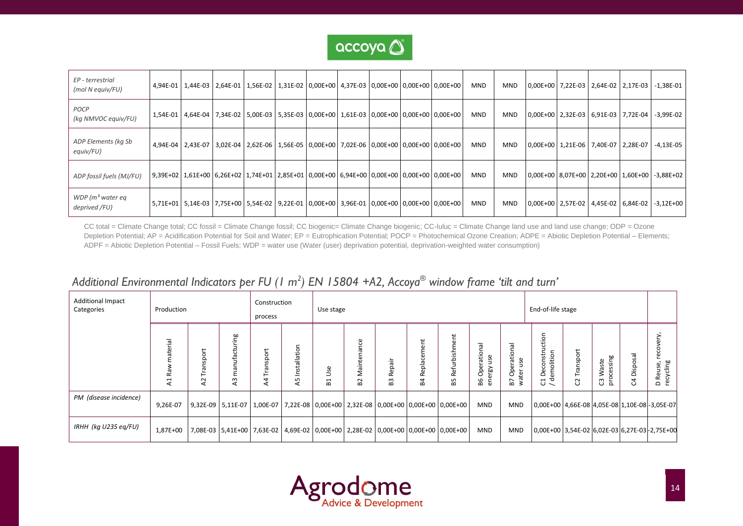

| EP - terrestrial<br>(mol N equiv/FU) |  | 4,94E-01   1,44E-03   2,64E-01   1,56E-02   1,31E-02   0,00E+00   4,37E-03   0,00E+00   0,00E+00   0,00E+00 |  |  |  | <b>MND</b> | MND        |  |                                     | $ 0,00E+00 $ 7,22E-03 $ 2,64E-02 $ 2,17E-03 $ -.1,38E-01 $ |
|--------------------------------------|--|-------------------------------------------------------------------------------------------------------------|--|--|--|------------|------------|--|-------------------------------------|------------------------------------------------------------|
| POCP<br>(kg NMVOC equiv/FU)          |  | 1,54E-01 4,64E-04 7,34E-02 5,00E-03 5,35E-03 0,00E+00 1,61E-03 0,00E+00 0,00E+00 0,00E+00                   |  |  |  | <b>MND</b> | MND        |  |                                     | $ 0,00E+00 $ 2,32E-03 $ 6,91E-03 $ 7,72E-04 $ $ -3,99E-02  |
| ADP Elements (kg Sb<br>equiv/FU)     |  | 4,94E-04   2,43E-07   3,02E-04   2,62E-06   1,56E-05   0,00E+00   7,02E-06   0,00E+00   0,00E+00   0,00E+00 |  |  |  | <b>MND</b> | <b>MND</b> |  | 0,00E+00 1,21E-06 7,40E-07 2,28E-07 | $-4,13E-05$                                                |
| ADP fossil fuels (MJ/FU)             |  | 9,39E+02   1,61E+00   6,26E+02   1,74E+01   2,85E+01   0,00E+00   6,94E+00   0,00E+00   0,00E+00   0,00E+00 |  |  |  | <b>MND</b> | <b>MND</b> |  |                                     | 0,00E+00 8,07E+00 2,20E+00 1,60E+00 -3,88E+02              |
| WDP ( $m3$ water eq<br>deprived /FU) |  | 5,71E+01   5,14E-03   7,75E+00   5,54E-02   9,22E-01   0,00E+00   3,96E-01   0,00E+00   0,00E+00   0,00E+00 |  |  |  | MND        | MND        |  |                                     | 0,00E+00   2,57E-02   4,45E-02   6,84E-02   -3,12E+00      |

CC total = Climate Change total; CC fossil = Climate Change fossil; CC biogenic= Climate Change biogenic; CC-luluc = Climate Change land use and land use change; ODP = Ozone Depletion Potential; AP = Acidification Potential for Soil and Water; EP = Eutrophication Potential; POCP = Photochemical Ozone Creation; ADPE = Abiotic Depletion Potential – Elements; ADPF = Abiotic Depletion Potential – Fossil Fuels; WDP = water use (Water (user) deprivation potential, deprivation-weighted water consumption)

# *Additional Environmental Indicators per FU (1 m 2 ) EN 15804 +A2, Accoya® window frame 'tilt and turn'*

| <b>Additional Impact</b><br>Categories | Production      |                                |                                | Construction<br>process         |                        | Use stage                |                               |                                |                               |                                                                                  |                                                |                                       | End-of-life stage                                                        |                           |                                 |                 |                                       |
|----------------------------------------|-----------------|--------------------------------|--------------------------------|---------------------------------|------------------------|--------------------------|-------------------------------|--------------------------------|-------------------------------|----------------------------------------------------------------------------------|------------------------------------------------|---------------------------------------|--------------------------------------------------------------------------|---------------------------|---------------------------------|-----------------|---------------------------------------|
|                                        | erial<br>≃<br>⋖ | sport<br>ă<br>⊢<br>$\sim$<br>⋖ | acturing<br>ε<br>$\omega$<br>∢ | $\leftarrow$<br>sport<br>4<br>⋖ | Installation<br>5<br>∢ | ပ္တ<br>H<br>$\mathbf{a}$ | Maintenance<br>B <sub>2</sub> | Repair<br>$\omega$<br>$\omega$ | $\overline{a}$<br>윤<br>œ<br>മ | だ<br>ㅎ<br>ë<br>Refu<br>55                                                        | ational<br>Š<br>Φ<br>å<br>Β6<br>$\overline{a}$ | ational<br>use<br>å<br>èr<br>δÑ<br>B7 | nstruction<br>emolition<br>S<br>ٶ<br>ರ<br>$\overline{\phantom{0}}$<br>じこ | Transpor<br>$\mathcal{C}$ | processing<br>Waste<br><u>უ</u> | A Disposal<br>ن | very,<br>eco<br>D Reuse,<br>recycling |
| PM (disease incidence)                 | 9,26E-07        |                                |                                |                                 |                        |                          |                               |                                |                               | 9,32E-09 5,11E-07 1,00E-07 7,22E-08 0,00E+00 2,32E-08 0,00E+00 0,00E+00 0,00E+00 | <b>MND</b>                                     | MND                                   | 0,00E+00 4,66E-08 4,05E-08 1,10E-08 -3,05E-07                            |                           |                                 |                 |                                       |
| IRHH (kg U235 eg/FU)                   | 1,87E+00        |                                |                                |                                 |                        |                          |                               |                                |                               | 7,08E-03 5,41E+00 7,63E-02 4,69E-02 0,00E+00 2,28E-02 0,00E+00 0,00E+00 0,00E+00 | <b>MND</b>                                     | <b>MND</b>                            | 0,00E+00 3,54E-02 6,02E-03 6,27E-03 - 2,75E+00                           |                           |                                 |                 |                                       |

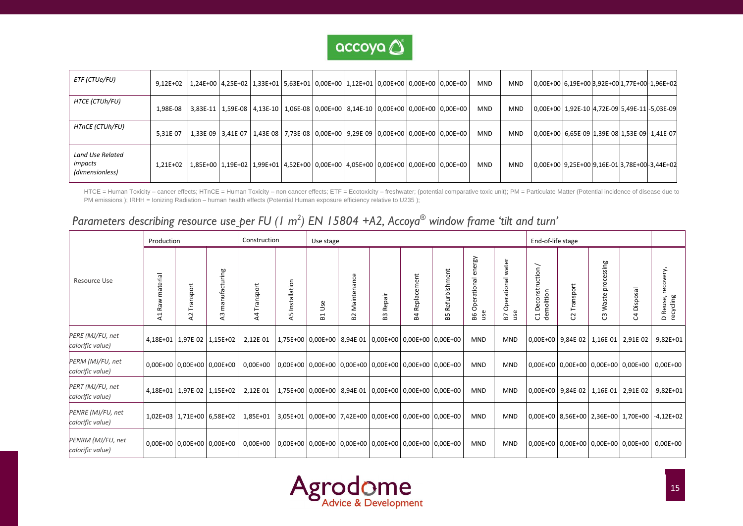

| ETF (CTUe/FU)                                  | $9.12E + 02$ |  |  |  |  | 1,24E+00   4,25E+02   1,33E+01   5,63E+01   0,00E+00   1,12E+01   0,00E+00   0,00E+00   0,00E+00 | <b>MND</b> | <b>MND</b> | 0,00E+00 6,19E+00 3,92E+00 1,77E+00 - 1,96E+02 |  |  |
|------------------------------------------------|--------------|--|--|--|--|--------------------------------------------------------------------------------------------------|------------|------------|------------------------------------------------|--|--|
| HTCE (CTUh/FU)                                 | 1,98E-08     |  |  |  |  | 3,83E-11   1,59E-08   4,13E-10   1,06E-08   0,00E+00   8,14E-10   0,00E+00   0,00E+00   0,00E+00 | <b>MND</b> | <b>MND</b> | 0,00E+00 1,92E-10 4,72E-09 5,49E-11 -5,03E-09  |  |  |
| HTnCE (CTUh/FU)                                | 5.31E-07     |  |  |  |  | 1,33E-09 3,41E-07 1,43E-08 7,73E-08 0,00E+00 9,29E-09 0,00E+00 0,00E+00 0,00E+00                 | <b>MND</b> | <b>MND</b> | 0,00E+00 6,65E-09 1,39E-08 1,53E-09 - 1,41E-07 |  |  |
| Land Use Related<br>impacts<br>(dimensionless) | $1.21E + 02$ |  |  |  |  | 1,85E+00 1,19E+02 1,99E+01 4,52E+00 0,00E+00 4,05E+00 0,00E+00 0,00E+00 0,00E+00                 | <b>MND</b> | <b>MND</b> | 0,00E+00 9,25E+00 9,16E-01 3,78E+00-3,44E+02   |  |  |

HTCE = Human Toxicity – cancer effects; HTnCE = Human Toxicity – non cancer effects; ETF = Ecotoxicity – freshwater; (potential comparative toxic unit); PM = Particulate Matter (Potential incidence of disease due to PM emissions ); IRHH = Ionizing Radiation – human health effects (Potential Human exposure efficiency relative to U235 );

# *Parameters describing resource use per FU (1 m 2 ) EN 15804 +A2, Accoya® window frame 'tilt and turn'*

|                                       | Production                 |                        |                            | Construction                |                    | Use stage |                   |              |                   |                                                                 |                                                                              |                                  | End-of-life stage                                    |                   |                           |                                           |                                                      |
|---------------------------------------|----------------------------|------------------------|----------------------------|-----------------------------|--------------------|-----------|-------------------|--------------|-------------------|-----------------------------------------------------------------|------------------------------------------------------------------------------|----------------------------------|------------------------------------------------------|-------------------|---------------------------|-------------------------------------------|------------------------------------------------------|
| Resource Use                          | material<br>₹<br>æ<br>4    | Transport<br>$\lambda$ | manufacturing<br>2         | Transport<br>$\overline{4}$ | Installation<br>45 | Use<br>집  | Maintenance<br>B2 | Repair<br>B3 | Replacement<br>P4 | Refurbishment<br>59                                             | ergy<br>۵ĥ<br>$\overline{\mathfrak{w}}$<br>perationa<br>$\circ$<br>use<br>98 | water<br>Operational<br>use<br>5 | ╮<br>uction<br>Deconstr<br>demolition<br>T<br>$\cup$ | ansport<br>S      | processing<br>Waste<br>ෆී | Disposal<br>უ                             | recovery,<br>Reuse,<br>recycling<br>$\mathbf \Omega$ |
| PERE (MJ/FU, net<br>calorific value)  | 4,18E+01 1,97E-02 1,15E+02 |                        |                            | 2,12E-01                    |                    |           |                   |              |                   | 1,75E+00   0,00E+00   8,94E-01   0,00E+00   0,00E+00   0,00E+00 | <b>MND</b>                                                                   | <b>MND</b>                       |                                                      | 0,00E+00 9,84E-02 |                           | 1,16E-01 2,91E-02                         | $-9,82E+01$                                          |
| PERM (MJ/FU, net<br>calorific value)  | 0,00E+00 0,00E+00 0,00E+00 |                        |                            | 0,00E+00                    |                    |           |                   |              |                   | 0,00E+00   0,00E+00   0,00E+00   0,00E+00   0,00E+00   0,00E+00 | <b>MND</b>                                                                   | <b>MND</b>                       |                                                      |                   |                           | 0,00E+00   0,00E+00   0,00E+00   0,00E+00 | $0,00E+00$                                           |
| PERT (MJ/FU, net<br>calorific value)  |                            |                        | 4,18E+01 1,97E-02 1,15E+02 | 2,12E-01                    |                    |           |                   |              |                   | 1,75E+00 0,00E+00 8,94E-01 0,00E+00 0,00E+00 0,00E+00           | <b>MND</b>                                                                   | <b>MND</b>                       |                                                      |                   |                           | 0,00E+00 9,84E-02 1,16E-01 2,91E-02       | $-9,82E+01$                                          |
| PENRE (MJ/FU, net<br>calorific value) |                            |                        | 1,02E+03 1,71E+00 6,58E+02 | 1,85E+01                    |                    |           |                   |              |                   | 3,05E+01 0,00E+00 7,42E+00 0,00E+00 0,00E+00 0,00E+00           | <b>MND</b>                                                                   | <b>MND</b>                       |                                                      |                   |                           | 0,00E+00 8,56E+00 2,36E+00 1,70E+00       | $-4,12E+02$                                          |
| PENRM (MJ/FU, net<br>calorific value) | 0,00E+00 0,00E+00 0,00E+00 |                        |                            | 0,00E+00                    |                    |           |                   |              |                   | 0,00E+00   0,00E+00   0,00E+00   0,00E+00   0,00E+00   0,00E+00 | <b>MND</b>                                                                   | <b>MND</b>                       |                                                      |                   |                           | 0,00E+00 0,00E+00 0,00E+00 0,00E+00       | $0,00E+00$                                           |

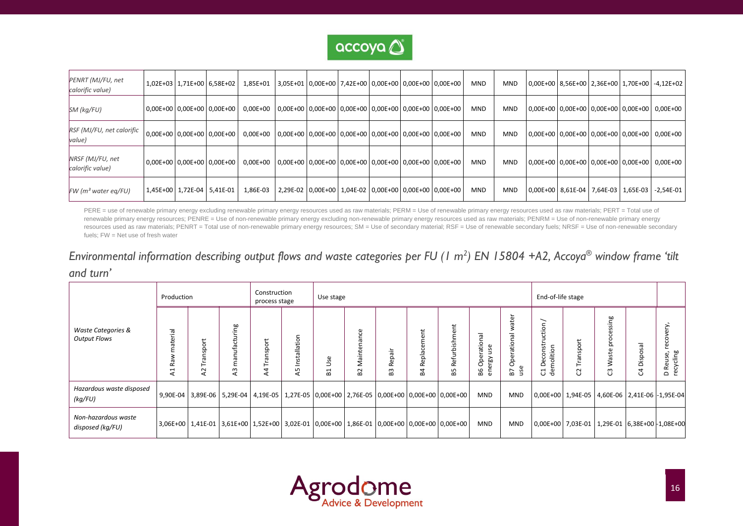

| PENRT (MJ/FU, net<br>calorific value) | 1,02E+03   1,71E+00   6,58E+02   |                            | 1,85E+01                                                                                 | $ 3.05E+01 0.00E+00 7.42E+00 0.00E+00 0.00E+00 0.00E+00$ |  |                                                                 |  | <b>MND</b> | <b>MND</b> |  |  | 0,00E+00   8,56E+00   2,36E+00   1,70E+00   -4,12E+02 |
|---------------------------------------|----------------------------------|----------------------------|------------------------------------------------------------------------------------------|----------------------------------------------------------|--|-----------------------------------------------------------------|--|------------|------------|--|--|-------------------------------------------------------|
| SM (kg/FU)                            |                                  | 0,00E+00 0,00E+00 0,00E+00 | $0.00E+00$   $0.00E+00$   $0.00E+00$   $0.00E+00$   $0.00E+00$   $0.00E+00$   $0.00E+00$ |                                                          |  |                                                                 |  | <b>MND</b> | <b>MND</b> |  |  | 0,00E+00   0,00E+00   0,00E+00   0,00E+00   0,00E+00  |
| RSF (MJ/FU, net calorific<br>value)   | 0,00E+00 0,00E+00 0,00E+00       |                            | $0.00E+00$   $0.00E+00$   $0.00E+00$   $0.00E+00$   $0.00E+00$   $0.00E+00$   $0.00E+00$ |                                                          |  |                                                                 |  | <b>MND</b> | <b>MND</b> |  |  | 0,00E+00 0,00E+00 0,00E+00 0,00E+00 0,00E+00          |
| NRSF (MJ/FU, net<br>calorific value)  | $0.00E+00$ $0.00E+00$ $0.00E+00$ |                            | $0.00E+00$   0.00E+00   0.00E+00   0.00E+00   0.00E+00   0.00E+00   0.00E+00             |                                                          |  |                                                                 |  | <b>MND</b> | <b>MND</b> |  |  | 0,00E+00 0,00E+00 0,00E+00 0,00E+00 0,00E+00          |
| $FW$ (m <sup>3</sup> water eq/FU)     | 1,45E+00   1,72E-04   5,41E-01   |                            | 1,86E-03                                                                                 |                                                          |  | 2,29E-02   0,00E+00   1,04E-02   0,00E+00   0,00E+00   0,00E+00 |  | <b>MND</b> | <b>MND</b> |  |  | 0,00E+00   8,61E-04   7,64E-03   1,65E-03   -2,54E-01 |

PERE = use of renewable primary energy excluding renewable primary energy resources used as raw materials; PERM = Use of renewable primary energy resources used as raw materials; PERT = Total use of renewable primary energy resources; PENRE = Use of non-renewable primary energy excluding non-renewable primary energy resources used as raw materials; PENRM = Use of non-renewable primary energy resources used as raw materials; PENRT = Total use of non-renewable primary energy resources; SM = Use of secondary material; RSF = Use of renewable secondary fuels; NRSF = Use of non-renewable secondary fuels; FW = Net use of fresh water

# *Environmental information describing output flows and waste categories per FU (1 m 2 ) EN 15804 +A2, Accoya® window frame 'tilt and turn'*

|                                                      | Production             |                            |                                                                                                             | Construction<br>process stage |                       | Use stage             |                                  |                                                  |                                                                      |                         |                                        |                                                     | End-of-life stage                                                                                         |                                  |                                                   |                             |                                                       |
|------------------------------------------------------|------------------------|----------------------------|-------------------------------------------------------------------------------------------------------------|-------------------------------|-----------------------|-----------------------|----------------------------------|--------------------------------------------------|----------------------------------------------------------------------|-------------------------|----------------------------------------|-----------------------------------------------------|-----------------------------------------------------------------------------------------------------------|----------------------------------|---------------------------------------------------|-----------------------------|-------------------------------------------------------|
| <b>Waste Categories &amp;</b><br><b>Output Flows</b> | aterial<br>æ<br>H<br>⋖ | nsport<br>L<br>$\sim$<br>⋖ | ng<br>ufacturi<br>ㅎ<br>٤<br>$\sim$<br>⋖                                                                     | پ<br>nsport<br>EJ<br>4<br>⋖   | Installatio<br>Б<br>⋖ | Φ<br>Ō<br>⊃<br>H<br>œ | ω<br>σ<br>$\sim$<br>$\mathbf{a}$ | ÷<br>$\circ$<br>d.<br>$\propto$<br>m<br>$\Omega$ | Ħ.<br>ω<br>đ١<br>œ<br>ᄒ<br>$\overline{\mathbf{v}}$<br>$\propto$<br>œ | ent<br>Refurbishm<br>В5 | Operational<br>use<br>ergy<br>Β6<br>۵Ē | ater<br>ᇹ<br>ationa<br>Oper<br>$\omega$<br>57<br>٩S | ー<br>ة.<br>تا<br>econstr<br>olition<br>$\circ$<br>Ē<br>$\overline{\phantom{0}}$<br>ಕೆ<br>$\mathsf{\circ}$ | ansport<br>Ε<br>$\sim$<br>$\cup$ | ஜ்<br>ៈត្<br>ğ<br>aste<br>≷<br>$\omega$<br>$\cup$ | S3<br>ispo<br>$\Omega$<br>O | ➢<br>ក<br>8<br>D Reuse,<br>recycling<br>Reu<br>$\Box$ |
| Hazardous waste disposed<br>(kq/FU)                  |                        |                            | 9,90E-04 3,89E-06 5,29E-04 4,19E-05 1,27E-05 0,00E+00 2,76E-05 0,00E+00 0,00E+00 0,00E+00                   |                               |                       |                       |                                  |                                                  |                                                                      |                         | <b>MND</b>                             | <b>MND</b>                                          | 0,00E+00 1,94E-05 4,60E-06 2,41E-06 -1,95E-04                                                             |                                  |                                                   |                             |                                                       |
| Non-hazardous waste<br>disposed (kg/FU)              |                        |                            | 3,06E+00   1,41E-01   3,61E+00   1,52E+00   3,02E-01   0,00E+00   1,86E-01   0,00E+00   0,00E+00   0,00E+00 |                               |                       |                       |                                  |                                                  |                                                                      |                         | <b>MND</b>                             | <b>MND</b>                                          | 0,00E+00 7,03E-01 1,29E-01 6,38E+00 -1,08E+00                                                             |                                  |                                                   |                             |                                                       |

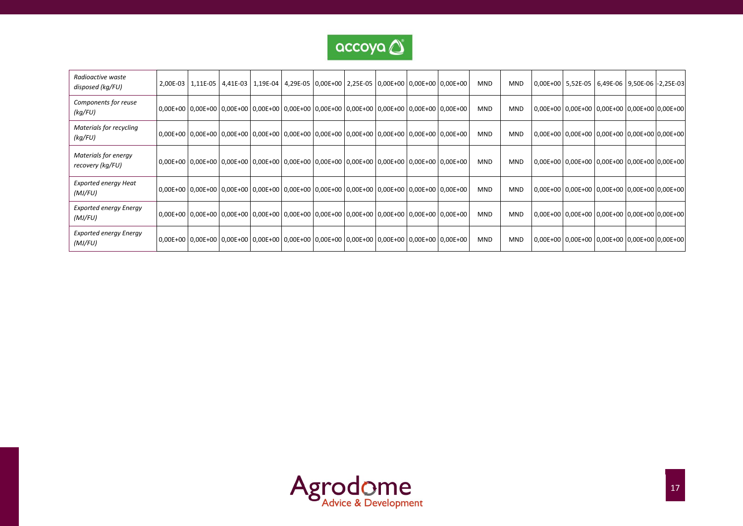

| Radioactive waste<br>disposed (kg/FU)    | 2,00E-03 1,11E-05 4,41E-03 1,19E-04 4,29E-05 0,00E+00 2,25E-05 0,00E+00 0,00E+00 0,00E+00                   |  |  |  |  | <b>MND</b> | <b>MND</b> | 0,00E+00   5,52E-05   6,49E-06   9,50E-06   -2,25E-03 |  |  |
|------------------------------------------|-------------------------------------------------------------------------------------------------------------|--|--|--|--|------------|------------|-------------------------------------------------------|--|--|
| Components for reuse<br>(kg/FU)          | 0,00E+00   0,00E+00   0,00E+00   0,00E+00   0,00E+00   0,00E+00   0,00E+00   0,00E+00   0,00E+00   0,00E+00 |  |  |  |  | <b>MND</b> | <b>MND</b> | 0,00E+00 0,00E+00 0,00E+00 0,00E+00 0,00E+00          |  |  |
| Materials for recycling<br>(kg/FU)       | 0,00E+00   0,00E+00   0,00E+00   0,00E+00   0,00E+00   0,00E+00   0,00E+00   0,00E+00   0,00E+00   0,00E+00 |  |  |  |  | <b>MND</b> | <b>MND</b> | 0,00E+00 0,00E+00 0,00E+00 0,00E+00 0,00E+00          |  |  |
| Materials for energy<br>recovery (kg/FU) | 0,00E+00   0,00E+00   0,00E+00   0,00E+00   0,00E+00   0,00E+00   0,00E+00   0,00E+00   0,00E+00   0,00E+00 |  |  |  |  | <b>MND</b> | <b>MND</b> | 0,00E+00 0,00E+00 0,00E+00 0,00E+00 0,00E+00          |  |  |
| <b>Exported energy Heat</b><br>(MJ/FU)   | 0,00E+00 0,00E+00 0,00E+00 0,00E+00 0,00E+00 0,00E+00 0,00E+00 0,00E+00 0,00E+00 0,00E+00 0,00E+00 0        |  |  |  |  | <b>MND</b> | <b>MND</b> | 0,00E+00 0,00E+00 0,00E+00 0,00E+00 0,00E+00          |  |  |
| <b>Exported energy Energy</b><br>(MJ/FU) | 0,00E+00   0,00E+00   0,00E+00   0,00E+00   0,00E+00   0,00E+00   0,00E+00   0,00E+00   0,00E+00   0,00E+00 |  |  |  |  | <b>MND</b> | <b>MND</b> | 0,00E+00 0,00E+00 0,00E+00 0,00E+00 0,00E+00          |  |  |
| <b>Exported energy Energy</b><br>(MJ/FU) | 0,00E+00   0,00E+00   0,00E+00   0,00E+00   0,00E+00   0,00E+00   0,00E+00   0,00E+00   0,00E+00   0,00E+00 |  |  |  |  | <b>MND</b> | <b>MND</b> | 0,00E+00 0,00E+00 0,00E+00 0,00E+00 0,00E+00          |  |  |

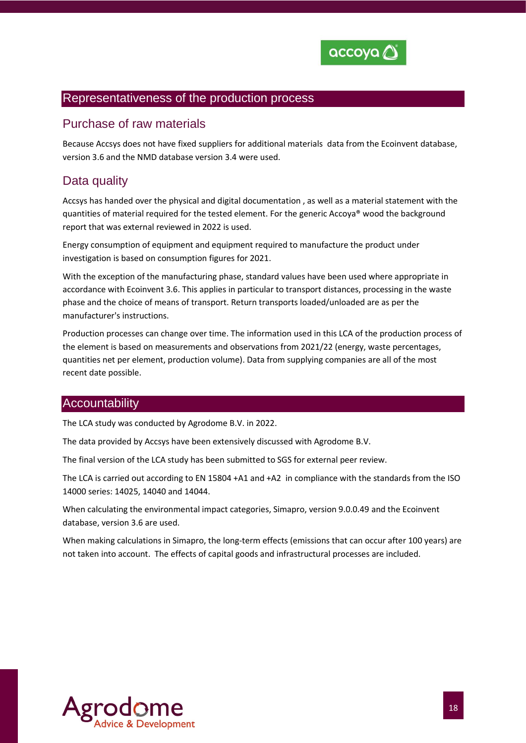

### Representativeness of the production process

### Purchase of raw materials

Because Accsys does not have fixed suppliers for additional materials data from the Ecoinvent database, version 3.6 and the NMD database version 3.4 were used.

# Data quality

Accsys has handed over the physical and digital documentation , as well as a material statement with the quantities of material required for the tested element. For the generic Accoya® wood the background report that was external reviewed in 2022 is used.

Energy consumption of equipment and equipment required to manufacture the product under investigation is based on consumption figures for 2021.

With the exception of the manufacturing phase, standard values have been used where appropriate in accordance with Ecoinvent 3.6. This applies in particular to transport distances, processing in the waste phase and the choice of means of transport. Return transports loaded/unloaded are as per the manufacturer's instructions.

Production processes can change over time. The information used in this LCA of the production process of the element is based on measurements and observations from 2021/22 (energy, waste percentages, quantities net per element, production volume). Data from supplying companies are all of the most recent date possible.

#### **Accountability**

The LCA study was conducted by Agrodome B.V. in 2022.

The data provided by Accsys have been extensively discussed with Agrodome B.V.

The final version of the LCA study has been submitted to SGS for external peer review.

The LCA is carried out according to EN 15804 +A1 and +A2 in compliance with the standards from the ISO 14000 series: 14025, 14040 and 14044.

When calculating the environmental impact categories, Simapro, version 9.0.0.49 and the Ecoinvent database, version 3.6 are used.

When making calculations in Simapro, the long-term effects (emissions that can occur after 100 years) are not taken into account. The effects of capital goods and infrastructural processes are included.

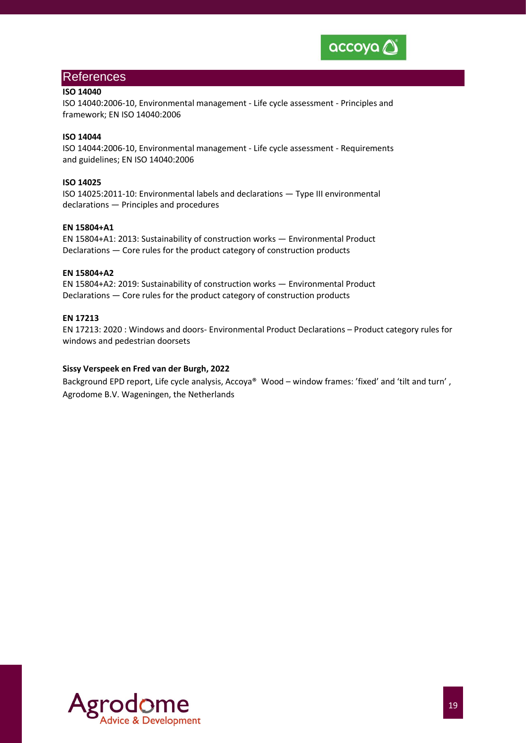

#### References

#### **ISO 14040**

ISO 14040:2006-10, Environmental management - Life cycle assessment - Principles and framework; EN ISO 14040:2006

#### **ISO 14044**

ISO 14044:2006-10, Environmental management - Life cycle assessment - Requirements and guidelines; EN ISO 14040:2006

#### **ISO 14025**

ISO 14025:2011-10: Environmental labels and declarations — Type III environmental declarations — Principles and procedures

#### **EN 15804+A1**

EN 15804+A1: 2013: Sustainability of construction works — Environmental Product Declarations — Core rules for the product category of construction products

#### **EN 15804+A2**

EN 15804+A2: 2019: Sustainability of construction works — Environmental Product Declarations — Core rules for the product category of construction products

#### **EN 17213**

EN 17213: 2020 : Windows and doors- Environmental Product Declarations – Product category rules for windows and pedestrian doorsets

#### **Sissy Verspeek en Fred van der Burgh, 2022**

Background EPD report, Life cycle analysis, Accoya® Wood – window frames: 'fixed' and 'tilt and turn', Agrodome B.V. Wageningen, the Netherlands